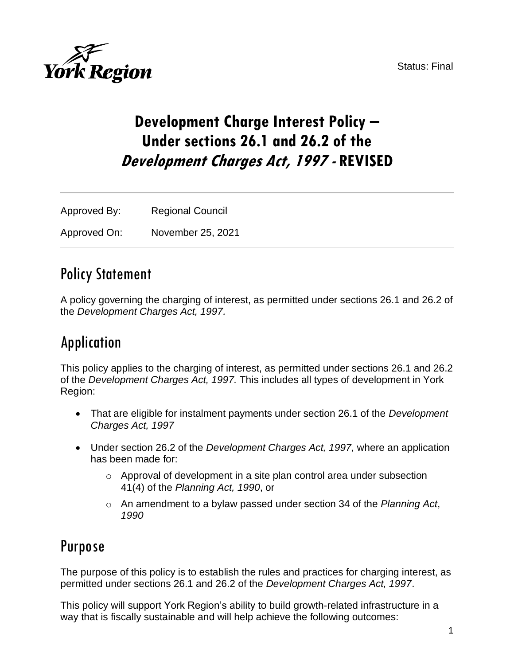



# **Development Charge Interest Policy – Under sections 26.1 and 26.2 of the Development Charges Act, 1997 - REVISED**

Approved By: Regional Council Approved On: November 25, 2021

## Policy Statement

A policy governing the charging of interest, as permitted under sections 26.1 and 26.2 of the *Development Charges Act, 1997.*

# Application

This policy applies to the charging of interest, as permitted under sections 26.1 and 26.2 of the *Development Charges Act, 1997.* This includes all types of development in York Region:

- That are eligible for instalment payments under section 26.1 of the *Development Charges Act, 1997*
- Under section 26.2 of the *Development Charges Act, 1997,* where an application has been made for:
	- o Approval of development in a site plan control area under subsection 41(4) of the *Planning Act, 1990*, or
	- o An amendment to a bylaw passed under section 34 of the *Planning Act*, *1990*

## Purpose

The purpose of this policy is to establish the rules and practices for charging interest, as permitted under sections 26.1 and 26.2 of the *Development Charges Act, 1997*.

This policy will support York Region's ability to build growth-related infrastructure in a way that is fiscally sustainable and will help achieve the following outcomes: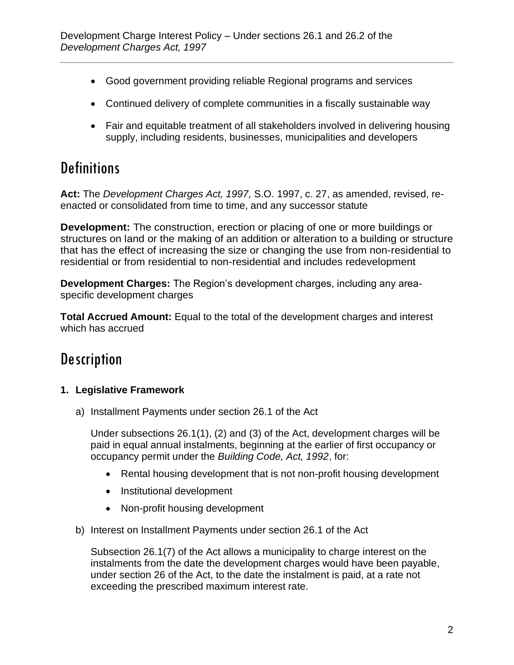- Good government providing reliable Regional programs and services
- Continued delivery of complete communities in a fiscally sustainable way
- Fair and equitable treatment of all stakeholders involved in delivering housing supply, including residents, businesses, municipalities and developers

# **Definitions**

**Act:** The *Development Charges Act, 1997,* S.O. 1997, c. 27, as amended, revised, reenacted or consolidated from time to time, and any successor statute

**Development:** The construction, erection or placing of one or more buildings or structures on land or the making of an addition or alteration to a building or structure that has the effect of increasing the size or changing the use from non-residential to residential or from residential to non-residential and includes redevelopment

**Development Charges:** The Region's development charges, including any areaspecific development charges

**Total Accrued Amount:** Equal to the total of the development charges and interest which has accrued

# **Description**

### **1. Legislative Framework**

a) Installment Payments under section 26.1 of the Act

Under subsections 26.1(1), (2) and (3) of the Act, development charges will be paid in equal annual instalments, beginning at the earlier of first occupancy or occupancy permit under the *Building Code, Act, 1992*, for:

- Rental housing development that is not non-profit housing development
- Institutional development
- Non-profit housing development
- b) Interest on Installment Payments under section 26.1 of the Act

Subsection 26.1(7) of the Act allows a municipality to charge interest on the instalments from the date the development charges would have been payable, under section 26 of the Act, to the date the instalment is paid, at a rate not exceeding the prescribed maximum interest rate.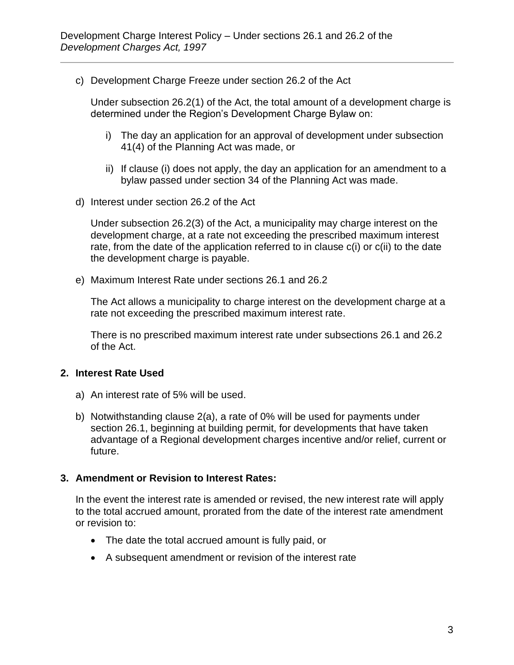c) Development Charge Freeze under section 26.2 of the Act

Under subsection 26.2(1) of the Act, the total amount of a development charge is determined under the Region's Development Charge Bylaw on:

- i) The day an application for an approval of development under subsection 41(4) of the Planning Act was made, or
- ii) If clause (i) does not apply, the day an application for an amendment to a bylaw passed under section 34 of the Planning Act was made.
- d) Interest under section 26.2 of the Act

Under subsection 26.2(3) of the Act, a municipality may charge interest on the development charge, at a rate not exceeding the prescribed maximum interest rate, from the date of the application referred to in clause c(i) or c(ii) to the date the development charge is payable.

e) Maximum Interest Rate under sections 26.1 and 26.2

The Act allows a municipality to charge interest on the development charge at a rate not exceeding the prescribed maximum interest rate.

There is no prescribed maximum interest rate under subsections 26.1 and 26.2 of the Act.

#### **2. Interest Rate Used**

- a) An interest rate of 5% will be used.
- b) Notwithstanding clause 2(a), a rate of 0% will be used for payments under section 26.1, beginning at building permit, for developments that have taken advantage of a Regional development charges incentive and/or relief, current or future.

#### **3. Amendment or Revision to Interest Rates:**

In the event the interest rate is amended or revised, the new interest rate will apply to the total accrued amount, prorated from the date of the interest rate amendment or revision to:

- The date the total accrued amount is fully paid, or
- A subsequent amendment or revision of the interest rate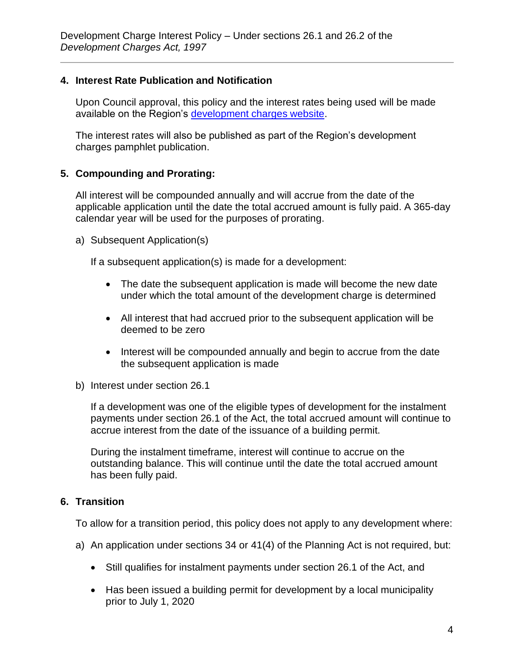#### **4. Interest Rate Publication and Notification**

Upon Council approval, this policy and the interest rates being used will be made available on the Region's [development charges](https://www.york.ca/wps/portal/yorkhome/business/yr/landdevelopment/developmentcharges/!ut/p/z0/fY29DoIwFIWfxYHR3AaJsjbECBjCinchFSpUoIW2oLy9yGSMcTvfyfkBhAxQsklUzAolWbvwBfd5RE9RGJ5JnHp-QChJaewefHLceRAD_g8sC-I-DEgBCyUtf1rIZp2vWlqHzEo3Cxgr7Lgateq4Q66jEZIb45CWybLkE29V362BDyhqpitu3ieuToKkAuyZrbdC3hRkX03IfjT7Bq_zg25eRVRi9Q!!/#.XhSJu_lKiUk) website.

The interest rates will also be published as part of the Region's development charges pamphlet publication.

#### **5. Compounding and Prorating:**

All interest will be compounded annually and will accrue from the date of the applicable application until the date the total accrued amount is fully paid. A 365-day calendar year will be used for the purposes of prorating.

a) Subsequent Application(s)

If a subsequent application(s) is made for a development:

- The date the subsequent application is made will become the new date under which the total amount of the development charge is determined
- All interest that had accrued prior to the subsequent application will be deemed to be zero
- Interest will be compounded annually and begin to accrue from the date the subsequent application is made
- b) Interest under section 26.1

If a development was one of the eligible types of development for the instalment payments under section 26.1 of the Act, the total accrued amount will continue to accrue interest from the date of the issuance of a building permit.

During the instalment timeframe, interest will continue to accrue on the outstanding balance. This will continue until the date the total accrued amount has been fully paid.

#### **6. Transition**

To allow for a transition period, this policy does not apply to any development where:

- a) An application under sections 34 or 41(4) of the Planning Act is not required, but:
	- Still qualifies for instalment payments under section 26.1 of the Act, and
	- Has been issued a building permit for development by a local municipality prior to July 1, 2020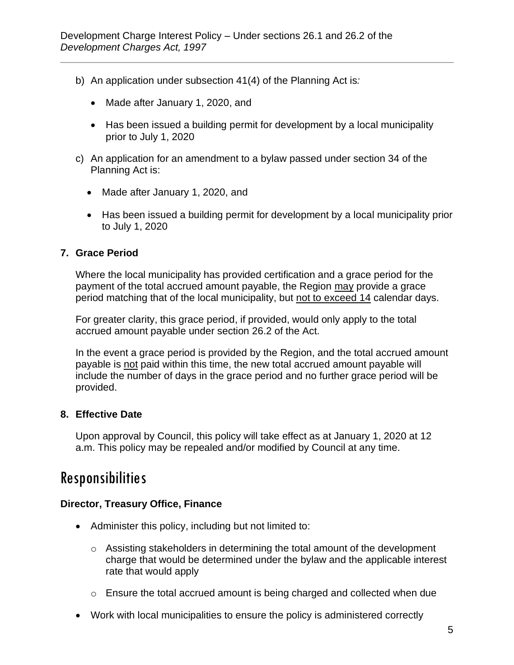- b) An application under subsection 41(4) of the Planning Act is*:*
	- Made after January 1, 2020, and
	- Has been issued a building permit for development by a local municipality prior to July 1, 2020
- c) An application for an amendment to a bylaw passed under section 34 of the Planning Act is:
	- Made after January 1, 2020, and
	- Has been issued a building permit for development by a local municipality prior to July 1, 2020

#### **7. Grace Period**

Where the local municipality has provided certification and a grace period for the payment of the total accrued amount payable, the Region may provide a grace period matching that of the local municipality, but not to exceed 14 calendar days.

For greater clarity, this grace period, if provided, would only apply to the total accrued amount payable under section 26.2 of the Act.

In the event a grace period is provided by the Region, and the total accrued amount payable is not paid within this time, the new total accrued amount payable will include the number of days in the grace period and no further grace period will be provided.

#### **8. Effective Date**

Upon approval by Council, this policy will take effect as at January 1, 2020 at 12 a.m. This policy may be repealed and/or modified by Council at any time.

### Responsibilities

#### **Director, Treasury Office, Finance**

- Administer this policy, including but not limited to:
	- $\circ$  Assisting stakeholders in determining the total amount of the development charge that would be determined under the bylaw and the applicable interest rate that would apply
	- o Ensure the total accrued amount is being charged and collected when due
- Work with local municipalities to ensure the policy is administered correctly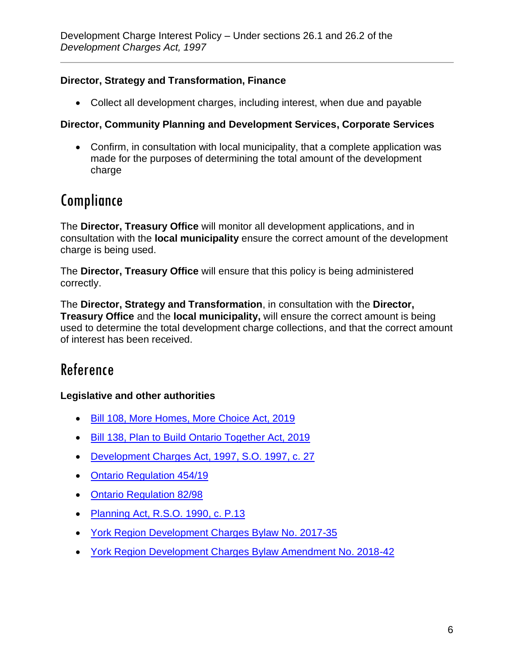### **Director, Strategy and Transformation, Finance**

• Collect all development charges, including interest, when due and payable

#### **Director, Community Planning and Development Services, Corporate Services**

• Confirm, in consultation with local municipality, that a complete application was made for the purposes of determining the total amount of the development charge

## Compliance

The **Director, Treasury Office** will monitor all development applications, and in consultation with the **local municipality** ensure the correct amount of the development charge is being used.

The **Director, Treasury Office** will ensure that this policy is being administered correctly.

The **Director, Strategy and Transformation**, in consultation with the **Director, Treasury Office** and the **local municipality,** will ensure the correct amount is being used to determine the total development charge collections, and that the correct amount of interest has been received.

# Reference

#### **Legislative and other authorities**

- [Bill 108, More Homes, More Choice Act, 2019](https://www.ola.org/en/legislative-business/bills/parliament-42/session-1/bill-108)
- [Bill 138, Plan to Build Ontario Together Act, 2019](https://www.ola.org/en/legislative-business/bills/parliament-42/session-1/bill-138)
- [Development Charges Act, 1997, S.O. 1997, c. 27](https://www.ontario.ca/laws/statute/97d27)
- [Ontario Regulation 454/19](https://www.ontario.ca/laws/regulation/r19454?search=454%2F19)
- [Ontario Regulation 82/98](https://www.ontario.ca/laws/regulation/980082)
- [Planning Act, R.S.O. 1990, c. P.13](https://www.ontario.ca/laws/statute/90p13)
- [York Region Development Charges Bylaw No. 2017-35](http://www.york.ca/wps/portal/yorkhome/yorkregion/yr/bylaws/developmentchargesbylaw/!ut/p/a1/rVRNT4NAEP0tHnokO3xsWY4raoGm1FiNwKUBypctH4W1ir_eLfVk0mLN7m1m37y8N5M8FCAPBVV4KLKQFXUV7o51MF3bdGZb1hycpUZMoLCkjqITIHOdA3wOgDOPwjCvKNrUkk1wwFoSsB_0R3xHLBnmCnpFAQriijUsR37fruO6YknFJtDX7ZYXHSvY-9DI6zI5tdsk4-omEPW78KObwCY5JLu6KTkszsM2S7rh58jcxMUG-bGBYyONsKSSqSppKYkkI4qxhA1jE2E9xLom_zi5IHVkE4OTkV1c3IaJRwBcg89F6mdVrGS0utL1CKEumFBRRBNi0YSiLdv_PYpjgylTTjhT71Wgim2SW9UhrguiFaqCCanoK1PRlun1V3b-EIVKuzAXGacNWS4VVVoj7xRSyDsXUnyqeNvvA8pj8Jh9nwx5gnOwKV9KovbS9omAipvD13NalmvXlcLoVyPwSUdvvgFUm5Ae/dl5/d5/L2dBISEvZ0FBIS9nQSEh/#.WtDgaS7wZhG)
- [York Region Development Charges Bylaw Amendment No. 2018-42](https://www.york.ca/wps/wcm/connect/yorkpublic/d81c8002-f0af-4337-afa6-71b52c5b7643/2018-42.pdf?MOD=AJPERES&CVID=mu8jzXy)